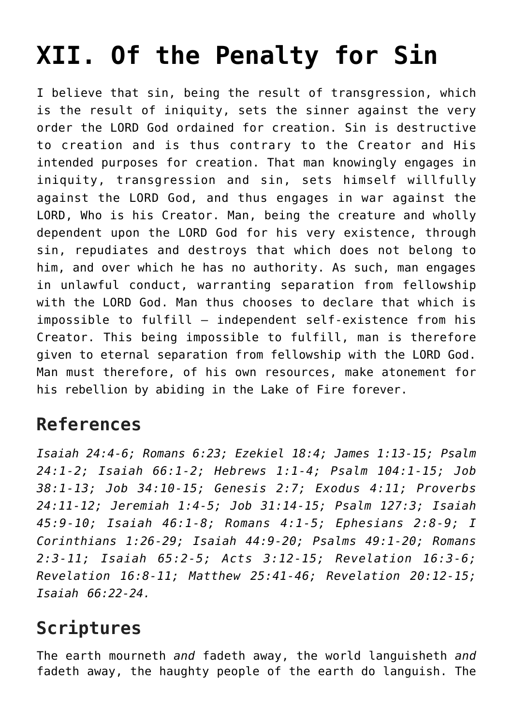## **[XII. Of the Penalty for Sin](https://reproachofmen.org/statement-of-faith/xii-of-the-penalty-for-sin/)**

I believe that sin, being the result of transgression, which is the result of iniquity, sets the sinner against the very order the LORD God ordained for creation. Sin is destructive to creation and is thus contrary to the Creator and His intended purposes for creation. That man knowingly engages in iniquity, transgression and sin, sets himself willfully against the LORD God, and thus engages in war against the LORD, Who is his Creator. Man, being the creature and wholly dependent upon the LORD God for his very existence, through sin, repudiates and destroys that which does not belong to him, and over which he has no authority. As such, man engages in unlawful conduct, warranting separation from fellowship with the LORD God. Man thus chooses to declare that which is impossible to fulfill – independent self-existence from his Creator. This being impossible to fulfill, man is therefore given to eternal separation from fellowship with the LORD God. Man must therefore, of his own resources, make atonement for his rebellion by abiding in the Lake of Fire forever.

## **References**

*Isaiah 24:4-6; Romans 6:23; Ezekiel 18:4; James 1:13-15; Psalm 24:1-2; Isaiah 66:1-2; Hebrews 1:1-4; Psalm 104:1-15; Job 38:1-13; Job 34:10-15; Genesis 2:7; Exodus 4:11; Proverbs 24:11-12; Jeremiah 1:4-5; Job 31:14-15; Psalm 127:3; Isaiah 45:9-10; Isaiah 46:1-8; Romans 4:1-5; Ephesians 2:8-9; I Corinthians 1:26-29; Isaiah 44:9-20; Psalms 49:1-20; Romans 2:3-11; Isaiah 65:2-5; Acts 3:12-15; Revelation 16:3-6; Revelation 16:8-11; Matthew 25:41-46; Revelation 20:12-15; Isaiah 66:22-24.*

## **Scriptures**

The earth mourneth *and* fadeth away, the world languisheth *and* fadeth away, the haughty people of the earth do languish. The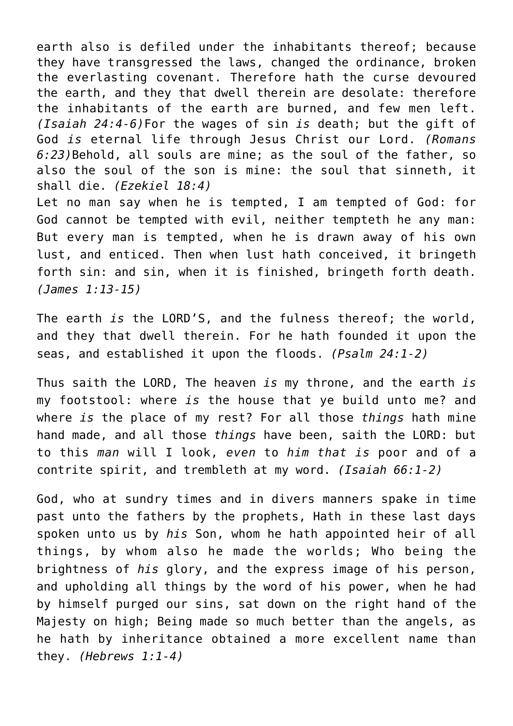earth also is defiled under the inhabitants thereof; because they have transgressed the laws, changed the ordinance, broken the everlasting covenant. Therefore hath the curse devoured the earth, and they that dwell therein are desolate: therefore the inhabitants of the earth are burned, and few men left. *(Isaiah 24:4-6)*For the wages of sin *is* death; but the gift of God *is* eternal life through Jesus Christ our Lord. *(Romans 6:23)*Behold, all souls are mine; as the soul of the father, so also the soul of the son is mine: the soul that sinneth, it shall die. *(Ezekiel 18:4)* Let no man say when he is tempted, I am tempted of God: for

God cannot be tempted with evil, neither tempteth he any man: But every man is tempted, when he is drawn away of his own lust, and enticed. Then when lust hath conceived, it bringeth forth sin: and sin, when it is finished, bringeth forth death. *(James 1:13-15)*

The earth *is* the LORD'S, and the fulness thereof; the world, and they that dwell therein. For he hath founded it upon the seas, and established it upon the floods. *(Psalm 24:1-2)*

Thus saith the LORD, The heaven *is* my throne, and the earth *is* my footstool: where *is* the house that ye build unto me? and where *is* the place of my rest? For all those *things* hath mine hand made, and all those *things* have been, saith the LORD: but to this *man* will I look, *even* to *him that is* poor and of a contrite spirit, and trembleth at my word. *(Isaiah 66:1-2)*

God, who at sundry times and in divers manners spake in time past unto the fathers by the prophets, Hath in these last days spoken unto us by *his* Son, whom he hath appointed heir of all things, by whom also he made the worlds; Who being the brightness of *his* glory, and the express image of his person, and upholding all things by the word of his power, when he had by himself purged our sins, sat down on the right hand of the Majesty on high; Being made so much better than the angels, as he hath by inheritance obtained a more excellent name than they. *(Hebrews 1:1-4)*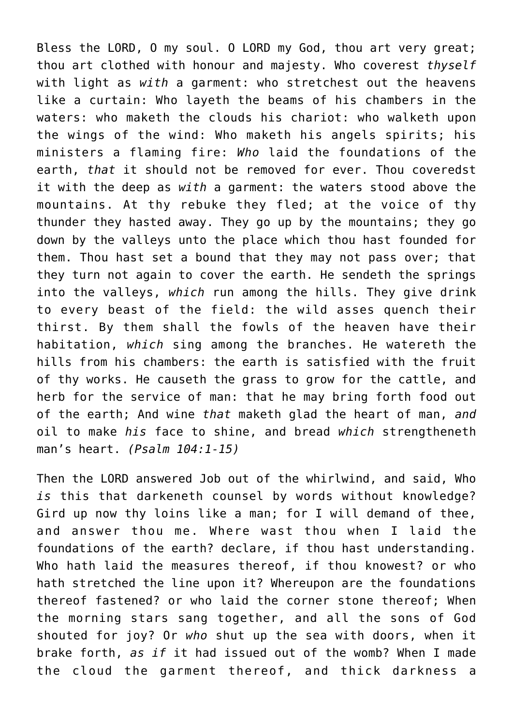Bless the LORD, O my soul. O LORD my God, thou art very great; thou art clothed with honour and majesty. Who coverest *thyself* with light as *with* a garment: who stretchest out the heavens like a curtain: Who layeth the beams of his chambers in the waters: who maketh the clouds his chariot: who walketh upon the wings of the wind: Who maketh his angels spirits; his ministers a flaming fire: *Who* laid the foundations of the earth, *that* it should not be removed for ever. Thou coveredst it with the deep as *with* a garment: the waters stood above the mountains. At thy rebuke they fled; at the voice of thy thunder they hasted away. They go up by the mountains; they go down by the valleys unto the place which thou hast founded for them. Thou hast set a bound that they may not pass over; that they turn not again to cover the earth. He sendeth the springs into the valleys, *which* run among the hills. They give drink to every beast of the field: the wild asses quench their thirst. By them shall the fowls of the heaven have their habitation, *which* sing among the branches. He watereth the hills from his chambers: the earth is satisfied with the fruit of thy works. He causeth the grass to grow for the cattle, and herb for the service of man: that he may bring forth food out of the earth; And wine *that* maketh glad the heart of man, *and* oil to make *his* face to shine, and bread *which* strengtheneth man's heart. *(Psalm 104:1-15)*

Then the LORD answered Job out of the whirlwind, and said, Who *is* this that darkeneth counsel by words without knowledge? Gird up now thy loins like a man; for I will demand of thee, and answer thou me. Where wast thou when I laid the foundations of the earth? declare, if thou hast understanding. Who hath laid the measures thereof, if thou knowest? or who hath stretched the line upon it? Whereupon are the foundations thereof fastened? or who laid the corner stone thereof; When the morning stars sang together, and all the sons of God shouted for joy? Or *who* shut up the sea with doors, when it brake forth, *as if* it had issued out of the womb? When I made the cloud the garment thereof, and thick darkness a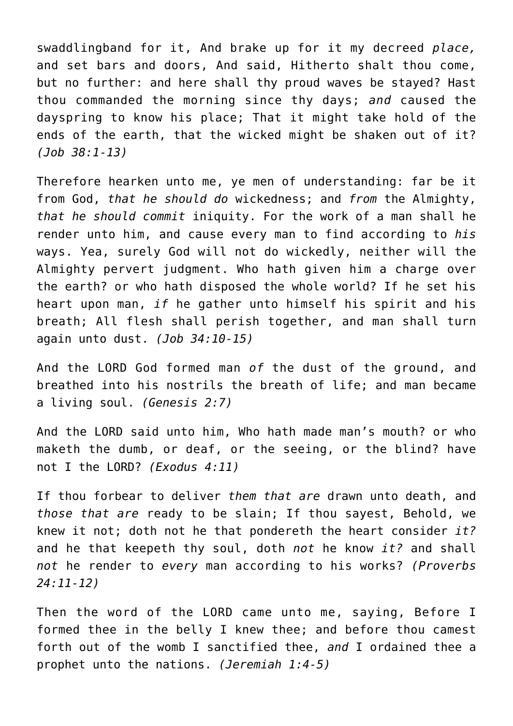swaddlingband for it, And brake up for it my decreed *place,* and set bars and doors, And said, Hitherto shalt thou come, but no further: and here shall thy proud waves be stayed? Hast thou commanded the morning since thy days; *and* caused the dayspring to know his place; That it might take hold of the ends of the earth, that the wicked might be shaken out of it? *(Job 38:1-13)*

Therefore hearken unto me, ye men of understanding: far be it from God, *that he should do* wickedness; and *from* the Almighty, *that he should commit* iniquity. For the work of a man shall he render unto him, and cause every man to find according to *his* ways. Yea, surely God will not do wickedly, neither will the Almighty pervert judgment. Who hath given him a charge over the earth? or who hath disposed the whole world? If he set his heart upon man, *if* he gather unto himself his spirit and his breath; All flesh shall perish together, and man shall turn again unto dust. *(Job 34:10-15)*

And the LORD God formed man *of* the dust of the ground, and breathed into his nostrils the breath of life; and man became a living soul. *(Genesis 2:7)*

And the LORD said unto him, Who hath made man's mouth? or who maketh the dumb, or deaf, or the seeing, or the blind? have not I the LORD? *(Exodus 4:11)*

If thou forbear to deliver *them that are* drawn unto death, and *those that are* ready to be slain; If thou sayest, Behold, we knew it not; doth not he that pondereth the heart consider *it?* and he that keepeth thy soul, doth *not* he know *it?* and shall *not* he render to *every* man according to his works? *(Proverbs 24:11-12)*

Then the word of the LORD came unto me, saying, Before I formed thee in the belly I knew thee; and before thou camest forth out of the womb I sanctified thee, *and* I ordained thee a prophet unto the nations. *(Jeremiah 1:4-5)*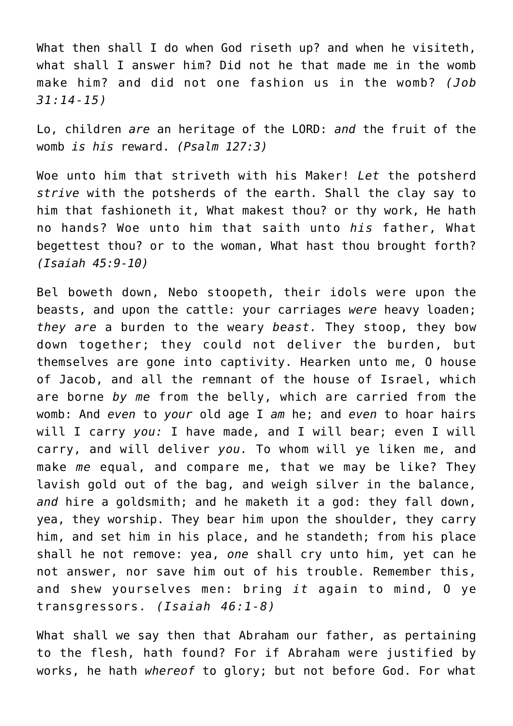What then shall I do when God riseth up? and when he visiteth, what shall I answer him? Did not he that made me in the womb make him? and did not one fashion us in the womb? *(Job 31:14-15)*

Lo, children *are* an heritage of the LORD: *and* the fruit of the womb *is his* reward. *(Psalm 127:3)*

Woe unto him that striveth with his Maker! *Let* the potsherd *strive* with the potsherds of the earth. Shall the clay say to him that fashioneth it, What makest thou? or thy work, He hath no hands? Woe unto him that saith unto *his* father, What begettest thou? or to the woman, What hast thou brought forth? *(Isaiah 45:9-10)*

Bel boweth down, Nebo stoopeth, their idols were upon the beasts, and upon the cattle: your carriages *were* heavy loaden; *they are* a burden to the weary *beast.* They stoop, they bow down together; they could not deliver the burden, but themselves are gone into captivity. Hearken unto me, O house of Jacob, and all the remnant of the house of Israel, which are borne *by me* from the belly, which are carried from the womb: And *even* to *your* old age I *am* he; and *even* to hoar hairs will I carry *you:* I have made, and I will bear; even I will carry, and will deliver *you.* To whom will ye liken me, and make *me* equal, and compare me, that we may be like? They lavish gold out of the bag, and weigh silver in the balance, *and* hire a goldsmith; and he maketh it a god: they fall down, yea, they worship. They bear him upon the shoulder, they carry him, and set him in his place, and he standeth; from his place shall he not remove: yea, *one* shall cry unto him, yet can he not answer, nor save him out of his trouble. Remember this, and shew yourselves men: bring *it* again to mind, O ye transgressors. *(Isaiah 46:1-8)*

What shall we say then that Abraham our father, as pertaining to the flesh, hath found? For if Abraham were justified by works, he hath *whereof* to glory; but not before God. For what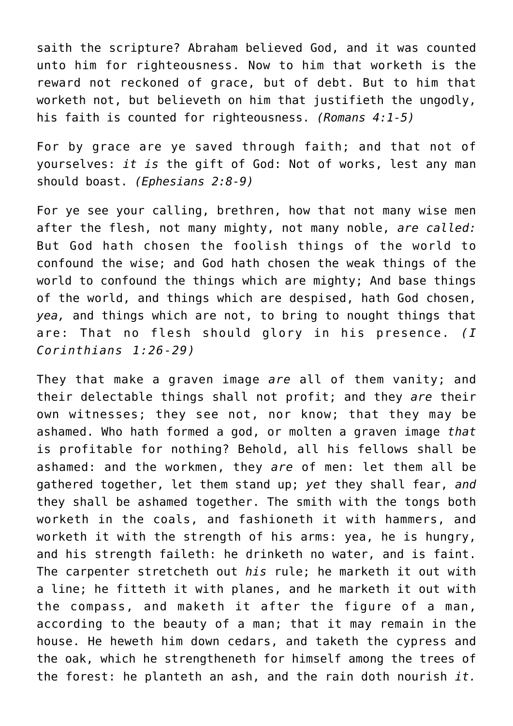saith the scripture? Abraham believed God, and it was counted unto him for righteousness. Now to him that worketh is the reward not reckoned of grace, but of debt. But to him that worketh not, but believeth on him that justifieth the ungodly, his faith is counted for righteousness. *(Romans 4:1-5)*

For by grace are ye saved through faith; and that not of yourselves: *it is* the gift of God: Not of works, lest any man should boast. *(Ephesians 2:8-9)*

For ye see your calling, brethren, how that not many wise men after the flesh, not many mighty, not many noble, *are called:* But God hath chosen the foolish things of the world to confound the wise; and God hath chosen the weak things of the world to confound the things which are mighty; And base things of the world, and things which are despised, hath God chosen, *yea,* and things which are not, to bring to nought things that are: That no flesh should glory in his presence. *(I Corinthians 1:26-29)*

They that make a graven image *are* all of them vanity; and their delectable things shall not profit; and they *are* their own witnesses; they see not, nor know; that they may be ashamed. Who hath formed a god, or molten a graven image *that* is profitable for nothing? Behold, all his fellows shall be ashamed: and the workmen, they *are* of men: let them all be gathered together, let them stand up; *yet* they shall fear, *and* they shall be ashamed together. The smith with the tongs both worketh in the coals, and fashioneth it with hammers, and worketh it with the strength of his arms: yea, he is hungry, and his strength faileth: he drinketh no water, and is faint. The carpenter stretcheth out *his* rule; he marketh it out with a line; he fitteth it with planes, and he marketh it out with the compass, and maketh it after the figure of a man, according to the beauty of a man; that it may remain in the house. He heweth him down cedars, and taketh the cypress and the oak, which he strengtheneth for himself among the trees of the forest: he planteth an ash, and the rain doth nourish *it.*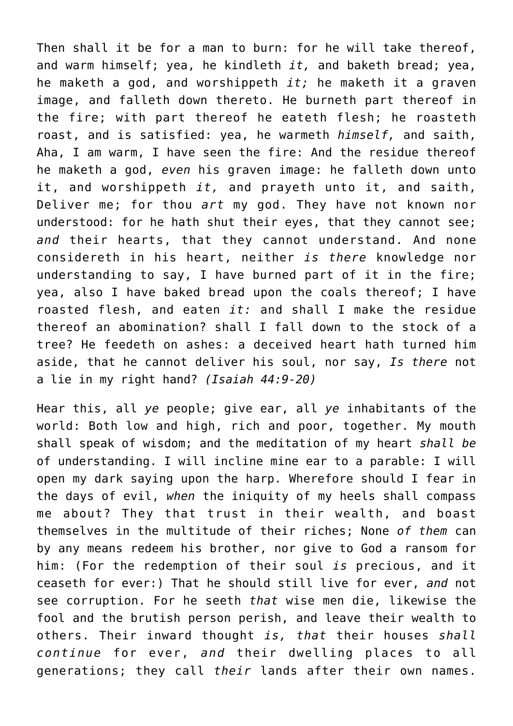Then shall it be for a man to burn: for he will take thereof, and warm himself; yea, he kindleth *it,* and baketh bread; yea, he maketh a god, and worshippeth *it;* he maketh it a graven image, and falleth down thereto. He burneth part thereof in the fire; with part thereof he eateth flesh; he roasteth roast, and is satisfied: yea, he warmeth *himself,* and saith, Aha, I am warm, I have seen the fire: And the residue thereof he maketh a god, *even* his graven image: he falleth down unto it, and worshippeth *it,* and prayeth unto it, and saith, Deliver me; for thou *art* my god. They have not known nor understood: for he hath shut their eyes, that they cannot see; *and* their hearts, that they cannot understand. And none considereth in his heart, neither *is there* knowledge nor understanding to say, I have burned part of it in the fire; yea, also I have baked bread upon the coals thereof; I have roasted flesh, and eaten *it:* and shall I make the residue thereof an abomination? shall I fall down to the stock of a tree? He feedeth on ashes: a deceived heart hath turned him aside, that he cannot deliver his soul, nor say, *Is there* not a lie in my right hand? *(Isaiah 44:9-20)*

Hear this, all *ye* people; give ear, all *ye* inhabitants of the world: Both low and high, rich and poor, together. My mouth shall speak of wisdom; and the meditation of my heart *shall be* of understanding. I will incline mine ear to a parable: I will open my dark saying upon the harp. Wherefore should I fear in the days of evil, *when* the iniquity of my heels shall compass me about? They that trust in their wealth, and boast themselves in the multitude of their riches; None *of them* can by any means redeem his brother, nor give to God a ransom for him: (For the redemption of their soul *is* precious, and it ceaseth for ever:) That he should still live for ever, *and* not see corruption. For he seeth *that* wise men die, likewise the fool and the brutish person perish, and leave their wealth to others. Their inward thought *is, that* their houses *shall continue* for ever, *and* their dwelling places to all generations; they call *their* lands after their own names.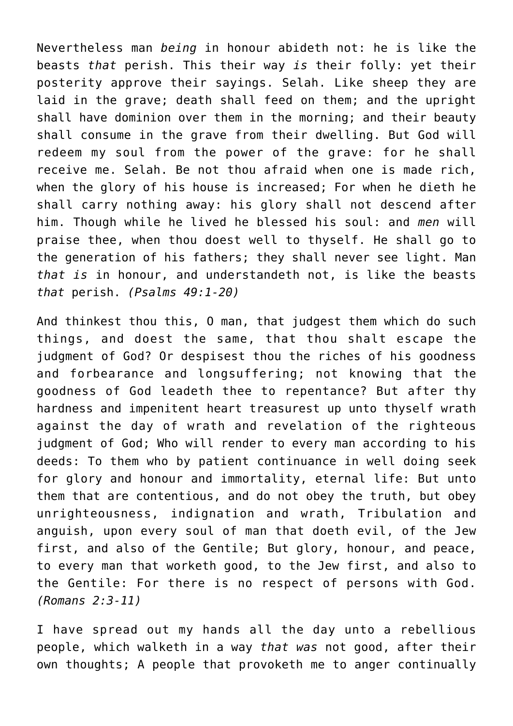Nevertheless man *being* in honour abideth not: he is like the beasts *that* perish. This their way *is* their folly: yet their posterity approve their sayings. Selah. Like sheep they are laid in the grave; death shall feed on them; and the upright shall have dominion over them in the morning; and their beauty shall consume in the grave from their dwelling. But God will redeem my soul from the power of the grave: for he shall receive me. Selah. Be not thou afraid when one is made rich, when the glory of his house is increased; For when he dieth he shall carry nothing away: his glory shall not descend after him. Though while he lived he blessed his soul: and *men* will praise thee, when thou doest well to thyself. He shall go to the generation of his fathers; they shall never see light. Man *that is* in honour, and understandeth not, is like the beasts *that* perish. *(Psalms 49:1-20)*

And thinkest thou this, O man, that judgest them which do such things, and doest the same, that thou shalt escape the judgment of God? Or despisest thou the riches of his goodness and forbearance and longsuffering; not knowing that the goodness of God leadeth thee to repentance? But after thy hardness and impenitent heart treasurest up unto thyself wrath against the day of wrath and revelation of the righteous judgment of God; Who will render to every man according to his deeds: To them who by patient continuance in well doing seek for glory and honour and immortality, eternal life: But unto them that are contentious, and do not obey the truth, but obey unrighteousness, indignation and wrath, Tribulation and anguish, upon every soul of man that doeth evil, of the Jew first, and also of the Gentile; But glory, honour, and peace, to every man that worketh good, to the Jew first, and also to the Gentile: For there is no respect of persons with God. *(Romans 2:3-11)*

I have spread out my hands all the day unto a rebellious people, which walketh in a way *that was* not good, after their own thoughts; A people that provoketh me to anger continually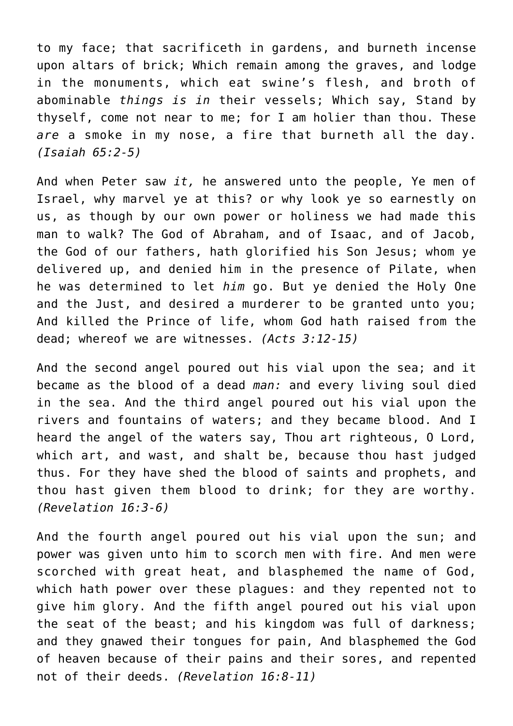to my face; that sacrificeth in gardens, and burneth incense upon altars of brick; Which remain among the graves, and lodge in the monuments, which eat swine's flesh, and broth of abominable *things is in* their vessels; Which say, Stand by thyself, come not near to me; for I am holier than thou. These *are* a smoke in my nose, a fire that burneth all the day. *(Isaiah 65:2-5)*

And when Peter saw *it,* he answered unto the people, Ye men of Israel, why marvel ye at this? or why look ye so earnestly on us, as though by our own power or holiness we had made this man to walk? The God of Abraham, and of Isaac, and of Jacob, the God of our fathers, hath glorified his Son Jesus; whom ye delivered up, and denied him in the presence of Pilate, when he was determined to let *him* go. But ye denied the Holy One and the Just, and desired a murderer to be granted unto you; And killed the Prince of life, whom God hath raised from the dead; whereof we are witnesses. *(Acts 3:12-15)*

And the second angel poured out his vial upon the sea; and it became as the blood of a dead *man:* and every living soul died in the sea. And the third angel poured out his vial upon the rivers and fountains of waters; and they became blood. And I heard the angel of the waters say, Thou art righteous, O Lord, which art, and wast, and shalt be, because thou hast judged thus. For they have shed the blood of saints and prophets, and thou hast given them blood to drink; for they are worthy. *(Revelation 16:3-6)*

And the fourth angel poured out his vial upon the sun; and power was given unto him to scorch men with fire. And men were scorched with great heat, and blasphemed the name of God, which hath power over these plagues: and they repented not to give him glory. And the fifth angel poured out his vial upon the seat of the beast; and his kingdom was full of darkness; and they gnawed their tongues for pain, And blasphemed the God of heaven because of their pains and their sores, and repented not of their deeds. *(Revelation 16:8-11)*